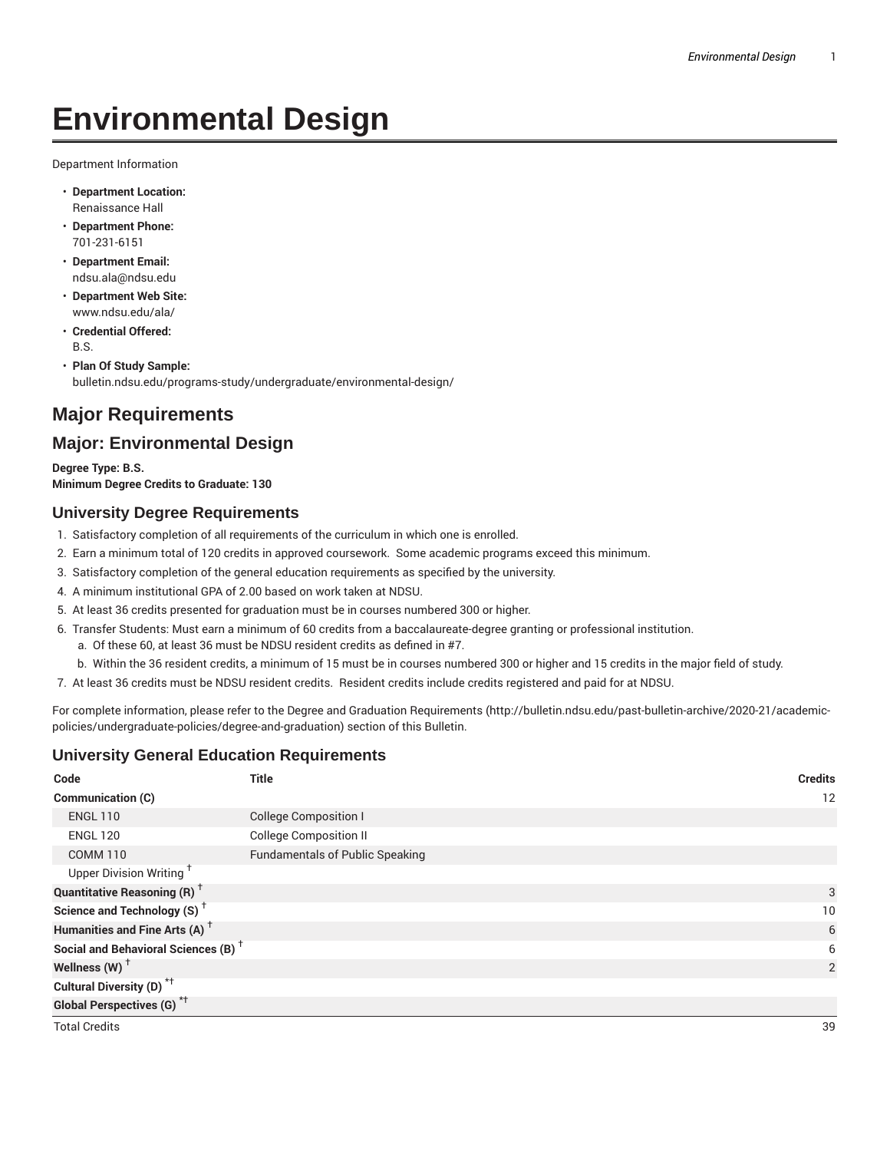# **Environmental Design**

Department Information

- **Department Location:** Renaissance Hall
- **Department Phone:** 701-231-6151
- **Department Email:** ndsu.ala@ndsu.edu
- **Department Web Site:** www.ndsu.edu/ala/
- **Credential Offered:** B.S.
- **Plan Of Study Sample:** bulletin.ndsu.edu/programs-study/undergraduate/environmental-design/

## **Major Requirements**

### **Major: Environmental Design**

**Degree Type: B.S. Minimum Degree Credits to Graduate: 130**

#### **University Degree Requirements**

- 1. Satisfactory completion of all requirements of the curriculum in which one is enrolled.
- 2. Earn a minimum total of 120 credits in approved coursework. Some academic programs exceed this minimum.
- 3. Satisfactory completion of the general education requirements as specified by the university.
- 4. A minimum institutional GPA of 2.00 based on work taken at NDSU.
- 5. At least 36 credits presented for graduation must be in courses numbered 300 or higher.
- 6. Transfer Students: Must earn a minimum of 60 credits from a baccalaureate-degree granting or professional institution.
	- a. Of these 60, at least 36 must be NDSU resident credits as defined in #7.
	- b. Within the 36 resident credits, a minimum of 15 must be in courses numbered 300 or higher and 15 credits in the major field of study.
- 7. At least 36 credits must be NDSU resident credits. Resident credits include credits registered and paid for at NDSU.

For complete information, please refer to the Degree and Graduation Requirements (http://bulletin.ndsu.edu/past-bulletin-archive/2020-21/academicpolicies/undergraduate-policies/degree-and-graduation) section of this Bulletin.

#### **University General Education Requirements**

| Code                                            | <b>Title</b>                           | <b>Credits</b> |
|-------------------------------------------------|----------------------------------------|----------------|
| Communication (C)                               |                                        | 12             |
| <b>ENGL 110</b>                                 | <b>College Composition I</b>           |                |
| <b>ENGL 120</b>                                 | <b>College Composition II</b>          |                |
| <b>COMM 110</b>                                 | <b>Fundamentals of Public Speaking</b> |                |
| Upper Division Writing <sup>+</sup>             |                                        |                |
| <b>Quantitative Reasoning (R)</b> <sup>+</sup>  |                                        | 3              |
| Science and Technology (S) <sup>+</sup>         |                                        | 10             |
| Humanities and Fine Arts (A) <sup>+</sup>       |                                        | 6              |
| Social and Behavioral Sciences (B) <sup>+</sup> |                                        | 6              |
| Wellness $(W)$ <sup>+</sup>                     |                                        | $\overline{2}$ |
| Cultural Diversity (D) <sup>*†</sup>            |                                        |                |
| <b>Global Perspectives (G)</b> <sup>*†</sup>    |                                        |                |
| <b>Total Credits</b>                            |                                        | 39             |